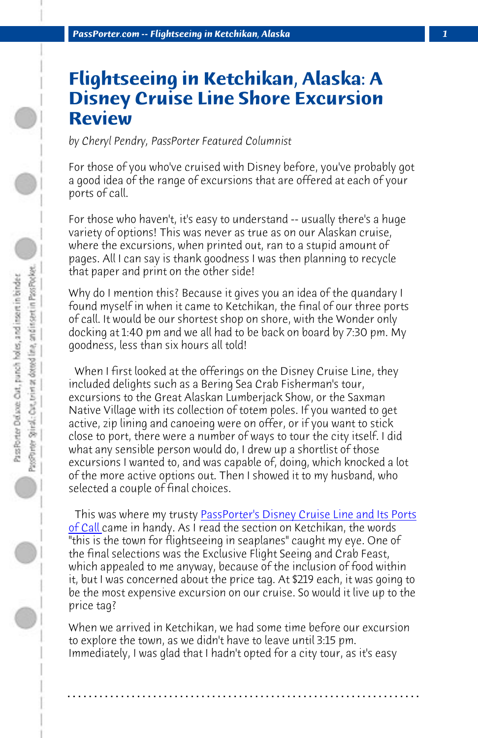*PassPorter.com -- Flightseeing in Ketchikan, Alaska 1*

## **Flightseeing in Ketchikan, Alaska: A Disney Cruise Line Shore Excursion Review**

*by Cheryl Pendry, PassPorter Featured Columnist*

For those of you who've cruised with Disney before, you've probably got a good idea of the range of excursions that are offered at each of your ports of call.

For those who haven't, it's easy to understand -- usually there's a huge variety of options! This was never as true as on our Alaskan cruise, where the excursions, when printed out, ran to a stupid amount of pages. All I can say is thank goodness I was then planning to recycle that paper and print on the other side!

Why do I mention this? Bec[ause it gives you an idea of the quandary I](http://www.passporterstore.com/store/dclpaperback.aspx) [found m](http://www.passporterstore.com/store/dclpaperback.aspx)yself in when it came to Ketchikan, the final of our three ports of call. It would be our shortest shop on shore, with the Wonder only docking at 1:40 pm and we all had to be back on board by 7:30 pm. My goodness, less than six hours all told!

 When I first looked at the offerings on the Disney Cruise Line, they included delights such as a Bering Sea Crab Fisherman's tour, excursions to the Great Alaskan Lumberjack Show, or the Saxman Native Village with its collection of totem poles. If you wanted to get active, zip lining and canoeing were on offer, or if you want to stick close to port, there were a number of ways to tour the city itself. I did what any sensible person would do, I drew up a shortlist of those excursions I wanted to, and was capable of, doing, which knocked a lot of the more active options out. Then I showed it to my husband, who selected a couple of final choices.

 This was where my trusty PassPorter's Disney Cruise Line and Its Ports of Call came in handy. As I read the section on Ketchikan, the words "this is the town for flightseeing in seaplanes" caught my eye. One of the final selections was the Exclusive Flight Seeing and Crab Feast, which appealed to me anyway, because of the inclusion of food within it, but I was concerned about the price tag. At \$219 each, it was going to be the most expensive excursion on our cruise. So would it live up to the price tag?

When we arrived in Ketchikan, we had some time before our excursion to explore the town, as we didn't have to leave until 3:15 pm. Immediately, I was glad that I hadn't opted for a city tour, as it's easy

**. . . . . . . . . . . . . . . . . . . . . . . . . . . . . . . . . . . . . . . . . . . . . . . . . . . . . . . . . . . . . . . . . .**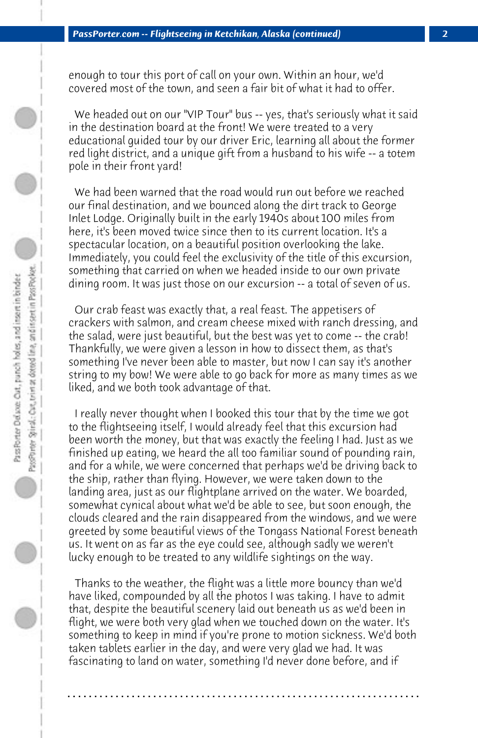enough to tour this port of call on your own. Within an hour, we'd covered most of the town, and seen a fair bit of what it had to offer.

 We headed out on our "VIP Tour" bus -- yes, that's seriously what it said in the destination board at the front! We were treated to a very educational guided tour by our driver Eric, learning all about the former red light district, and a unique gift from a husband to his wife -- a totem pole in their front yard!

 We had been warned that the road would run out before we reached our final destination, and we bounced along the dirt track to George Inlet Lodge. Originally built in the early 1940s about 100 miles from here, it's been moved twice since then to its current location. It's a spectacular location, on a beautiful position overlooking the lake. Immediately, you could feel the exclusivity of the title of this excursion, something that carried on when we headed inside to our own private dining room. It was just those on our excursion -- a total of seven of us.

 Our crab feast was exactly that, a real feast. The appetisers of crackers with salmon, and cream cheese mixed with ranch dressing, and the salad, were just beautiful, but the best was yet to come -- the crab! Thankfully, we were given a lesson in how to dissect them, as that's something I've never been able to master, but now I can say it's another string to my bow! We were able to go back for more as many times as we liked, and we both took advantage of that.

 I really never thought when I booked this tour that by the time we got to the flightseeing itself, I would already feel that this excursion had been worth the money, but that was exactly the feeling I had. Just as we finished up eating, we heard the all too familiar sound of pounding rain, and for a while, we were concerned that perhaps we'd be driving back to the ship, rather than flying. However, we were taken down to the landing area, just as our flightplane arrived on the water. We boarded, somewhat cynical about what we'd be able to see, but soon enough, the clouds cleared and the rain disappeared from the windows, and we were greeted by some beautiful views of the Tongass National Forest beneath us. It went on as far as the eye could see, although sadly we weren't lucky enough to be treated to any wildlife sightings on the way.

 Thanks to the weather, the flight was a little more bouncy than we'd have liked, compounded by all the photos I was taking. I have to admit that, despite the beautiful scenery laid out beneath us as we'd been in flight, we were both very glad when we touched down on the water. It's something to keep in mind if you're prone to motion sickness. We'd both taken tablets earlier in the day, and were very glad we had. It was fascinating to land on water, something I'd never done before, and if

**. . . . . . . . . . . . . . . . . . . . . . . . . . . . . . . . . . . . . . . . . . . . . . . . . . . . . . . . . . . . . . . . . .**